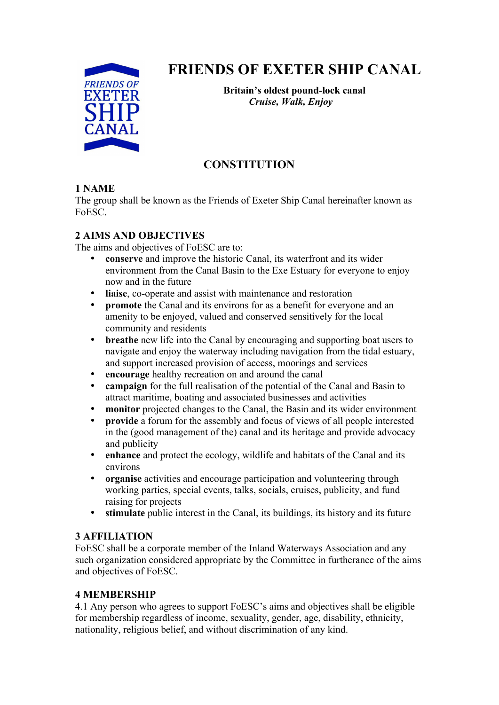

# **FRIENDS OF EXETER SHIP CANAL**

**Britain's oldest pound-lock canal**  *Cruise, Walk, Enjoy* 

# **CONSTITUTION**

## **1 NAME**

The group shall be known as the Friends of Exeter Ship Canal hereinafter known as FoESC.

## **2 AIMS AND OBJECTIVES**

The aims and objectives of FoESC are to:

- **conserve** and improve the historic Canal, its waterfront and its wider environment from the Canal Basin to the Exe Estuary for everyone to enjoy now and in the future
- **liaise**, co-operate and assist with maintenance and restoration
- **promote** the Canal and its environs for as a benefit for everyone and an amenity to be enjoyed, valued and conserved sensitively for the local community and residents
- **breathe** new life into the Canal by encouraging and supporting boat users to navigate and enjoy the waterway including navigation from the tidal estuary, and support increased provision of access, moorings and services
- **encourage** healthy recreation on and around the canal
- **campaign** for the full realisation of the potential of the Canal and Basin to attract maritime, boating and associated businesses and activities
- **monitor** projected changes to the Canal, the Basin and its wider environment
- **provide** a forum for the assembly and focus of views of all people interested in the (good management of the) canal and its heritage and provide advocacy and publicity
- **enhance** and protect the ecology, wildlife and habitats of the Canal and its environs
- **organise** activities and encourage participation and volunteering through working parties, special events, talks, socials, cruises, publicity, and fund raising for projects
- **stimulate** public interest in the Canal, its buildings, its history and its future

#### **3 AFFILIATION**

FoESC shall be a corporate member of the Inland Waterways Association and any such organization considered appropriate by the Committee in furtherance of the aims and objectives of FoESC.

# **4 MEMBERSHIP**

4.1 Any person who agrees to support FoESC's aims and objectives shall be eligible for membership regardless of income, sexuality, gender, age, disability, ethnicity, nationality, religious belief, and without discrimination of any kind.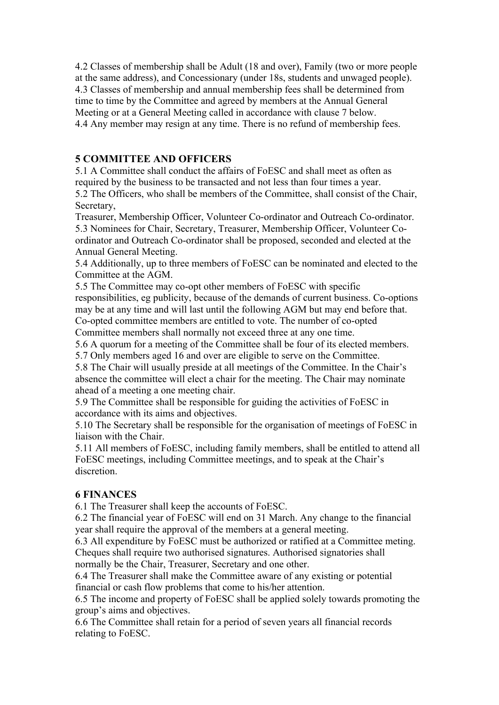4.2 Classes of membership shall be Adult (18 and over), Family (two or more people at the same address), and Concessionary (under 18s, students and unwaged people). 4.3 Classes of membership and annual membership fees shall be determined from time to time by the Committee and agreed by members at the Annual General Meeting or at a General Meeting called in accordance with clause 7 below. 4.4 Any member may resign at any time. There is no refund of membership fees.

#### **5 COMMITTEE AND OFFICERS**

5.1 A Committee shall conduct the affairs of FoESC and shall meet as often as required by the business to be transacted and not less than four times a year. 5.2 The Officers, who shall be members of the Committee, shall consist of the Chair, Secretary,

Treasurer, Membership Officer, Volunteer Co-ordinator and Outreach Co-ordinator. 5.3 Nominees for Chair, Secretary, Treasurer, Membership Officer, Volunteer Coordinator and Outreach Co-ordinator shall be proposed, seconded and elected at the Annual General Meeting.

5.4 Additionally, up to three members of FoESC can be nominated and elected to the Committee at the AGM.

5.5 The Committee may co-opt other members of FoESC with specific responsibilities, eg publicity, because of the demands of current business. Co-options may be at any time and will last until the following AGM but may end before that. Co-opted committee members are entitled to vote. The number of co-opted Committee members shall normally not exceed three at any one time.

5.6 A quorum for a meeting of the Committee shall be four of its elected members.

5.7 Only members aged 16 and over are eligible to serve on the Committee.

5.8 The Chair will usually preside at all meetings of the Committee. In the Chair's absence the committee will elect a chair for the meeting. The Chair may nominate ahead of a meeting a one meeting chair.

5.9 The Committee shall be responsible for guiding the activities of FoESC in accordance with its aims and objectives.

5.10 The Secretary shall be responsible for the organisation of meetings of FoESC in liaison with the Chair.

5.11 All members of FoESC, including family members, shall be entitled to attend all FoESC meetings, including Committee meetings, and to speak at the Chair's discretion.

#### **6 FINANCES**

6.1 The Treasurer shall keep the accounts of FoESC.

6.2 The financial year of FoESC will end on 31 March. Any change to the financial year shall require the approval of the members at a general meeting.

6.3 All expenditure by FoESC must be authorized or ratified at a Committee meting. Cheques shall require two authorised signatures. Authorised signatories shall normally be the Chair, Treasurer, Secretary and one other.

6.4 The Treasurer shall make the Committee aware of any existing or potential financial or cash flow problems that come to his/her attention.

6.5 The income and property of FoESC shall be applied solely towards promoting the group's aims and objectives.

6.6 The Committee shall retain for a period of seven years all financial records relating to FoESC.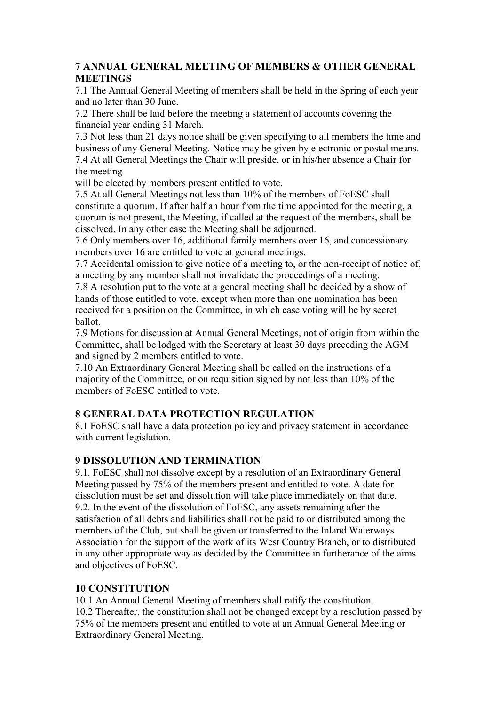#### **7 ANNUAL GENERAL MEETING OF MEMBERS & OTHER GENERAL MEETINGS**

7.1 The Annual General Meeting of members shall be held in the Spring of each year and no later than 30 June.

7.2 There shall be laid before the meeting a statement of accounts covering the financial year ending 31 March.

7.3 Not less than 21 days notice shall be given specifying to all members the time and business of any General Meeting. Notice may be given by electronic or postal means. 7.4 At all General Meetings the Chair will preside, or in his/her absence a Chair for the meeting

will be elected by members present entitled to vote.

7.5 At all General Meetings not less than 10% of the members of FoESC shall constitute a quorum. If after half an hour from the time appointed for the meeting, a quorum is not present, the Meeting, if called at the request of the members, shall be dissolved. In any other case the Meeting shall be adjourned.

7.6 Only members over 16, additional family members over 16, and concessionary members over 16 are entitled to vote at general meetings.

7.7 Accidental omission to give notice of a meeting to, or the non-receipt of notice of, a meeting by any member shall not invalidate the proceedings of a meeting.

7.8 A resolution put to the vote at a general meeting shall be decided by a show of hands of those entitled to vote, except when more than one nomination has been received for a position on the Committee, in which case voting will be by secret ballot.

7.9 Motions for discussion at Annual General Meetings, not of origin from within the Committee, shall be lodged with the Secretary at least 30 days preceding the AGM and signed by 2 members entitled to vote.

7.10 An Extraordinary General Meeting shall be called on the instructions of a majority of the Committee, or on requisition signed by not less than 10% of the members of FoESC entitled to vote.

#### **8 GENERAL DATA PROTECTION REGULATION**

8.1 FoESC shall have a data protection policy and privacy statement in accordance with current legislation.

#### **9 DISSOLUTION AND TERMINATION**

9.1. FoESC shall not dissolve except by a resolution of an Extraordinary General Meeting passed by 75% of the members present and entitled to vote. A date for dissolution must be set and dissolution will take place immediately on that date. 9.2. In the event of the dissolution of FoESC, any assets remaining after the satisfaction of all debts and liabilities shall not be paid to or distributed among the members of the Club, but shall be given or transferred to the Inland Waterways Association for the support of the work of its West Country Branch, or to distributed in any other appropriate way as decided by the Committee in furtherance of the aims and objectives of FoESC.

#### **10 CONSTITUTION**

10.1 An Annual General Meeting of members shall ratify the constitution. 10.2 Thereafter, the constitution shall not be changed except by a resolution passed by 75% of the members present and entitled to vote at an Annual General Meeting or Extraordinary General Meeting.